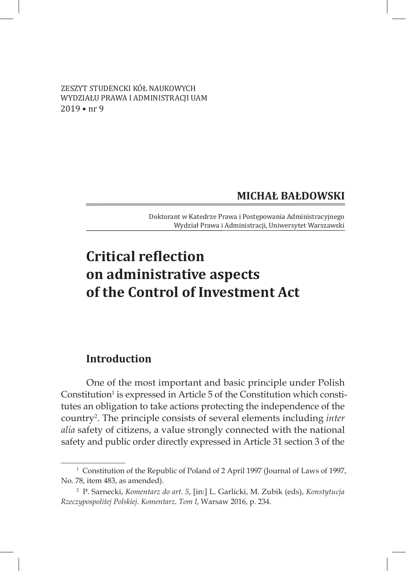ZESZYT STUDENCKI KÓŁ NAUKOWYCH WYDZIAŁU PRAWA I ADMINISTRACJI UAM 2019 • nr 9

### **MICHAŁ BAŁDOWSKI**

Doktorant w Katedrze Prawa i Postępowania Administracyjnego Wydział Prawa i Administracji, Uniwersytet Warszawski

# **Critical reflection on administrative aspects of the Control of Investment Act**

#### **Introduction**

One of the most important and basic principle under Polish Constitution<sup>1</sup> is expressed in Article 5 of the Constitution which constitutes an obligation to take actions protecting the independence of the country2 . The principle consists of several elements including *inter alia* safety of citizens, a value strongly connected with the national safety and public order directly expressed in Article 31 section 3 of the

<sup>&</sup>lt;sup>1</sup> Constitution of the Republic of Poland of 2 April 1997 (Journal of Laws of 1997, No. 78, item 483, as amended).

<sup>2</sup> P. Sarnecki, *Komentarz do art. 5*, [in:] L. Garlicki, M. Zubik (eds), *Konstytucja Rzeczypospolitej Polskiej. Komentarz. Tom I*, Warsaw 2016, p. 234.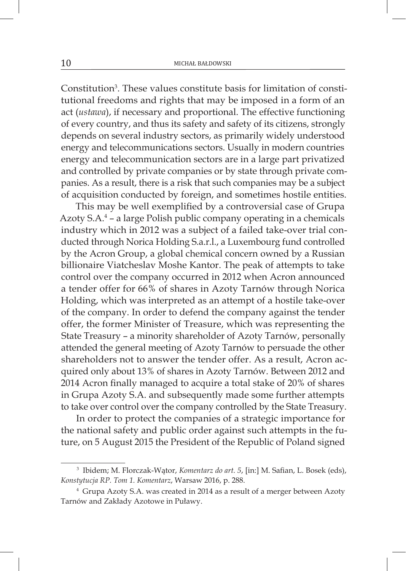Constitution<sup>3</sup>. These values constitute basis for limitation of constitutional freedoms and rights that may be imposed in a form of an act (*ustawa*), if necessary and proportional. The effective functioning of every country, and thus its safety and safety of its citizens, strongly depends on several industry sectors, as primarily widely understood energy and telecommunications sectors. Usually in modern countries energy and telecommunication sectors are in a large part privatized and controlled by private companies or by state through private companies. As a result, there is a risk that such companies may be a subject of acquisition conducted by foreign, and sometimes hostile entities.

This may be well exemplified by a controversial case of Grupa Azoty S.A.4 – a large Polish public company operating in a chemicals industry which in 2012 was a subject of a failed take-over trial conducted through Norica Holding S.a.r.l., a Luxembourg fund controlled by the Acron Group, a global chemical concern owned by a Russian billionaire Viatcheslav Moshe Kantor. The peak of attempts to take control over the company occurred in 2012 when Acron announced a tender offer for 66% of shares in Azoty Tarnów through Norica Holding, which was interpreted as an attempt of a hostile take-over of the company. In order to defend the company against the tender offer, the former Minister of Treasure, which was representing the State Treasury – a minority shareholder of Azoty Tarnów, personally attended the general meeting of Azoty Tarnów to persuade the other shareholders not to answer the tender offer. As a result, Acron acquired only about 13% of shares in Azoty Tarnów. Between 2012 and 2014 Acron finally managed to acquire a total stake of 20% of shares in Grupa Azoty S.A. and subsequently made some further attempts to take over control over the company controlled by the State Treasury.

In order to protect the companies of a strategic importance for the national safety and public order against such attempts in the future, on 5 August 2015 the President of the Republic of Poland signed

<sup>3</sup> Ibidem; M. Florczak-Wątor, *Komentarz do art. 5*, [in:] M. Safian, L. Bosek (eds), *Konstytucja RP. Tom 1. Komentarz*, Warsaw 2016, p. 288.

<sup>4</sup> Grupa Azoty S.A. was created in 2014 as a result of a merger between Azoty Tarnów and Zakłady Azotowe in Puławy.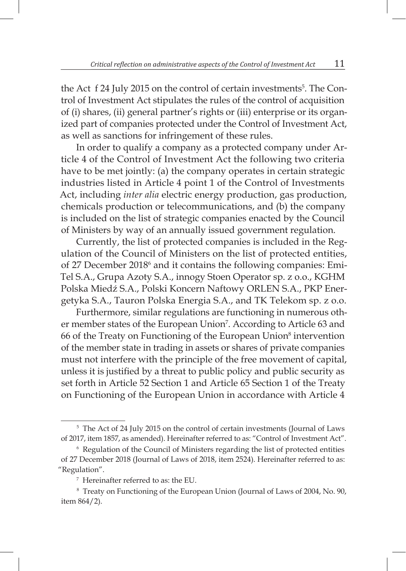the Act f 24 July 2015 on the control of certain investments<sup>5</sup>. The Control of Investment Act stipulates the rules of the control of acquisition of (i) shares, (ii) general partner's rights or (iii) enterprise or its organized part of companies protected under the Control of Investment Act, as well as sanctions for infringement of these rules.

In order to qualify a company as a protected company under Article 4 of the Control of Investment Act the following two criteria have to be met jointly: (a) the company operates in certain strategic industries listed in Article 4 point 1 of the Control of Investments Act, including *inter alia* electric energy production, gas production, chemicals production or telecommunications, and (b) the company is included on the list of strategic companies enacted by the Council of Ministers by way of an annually issued government regulation.

Currently, the list of protected companies is included in the Regulation of the Council of Ministers on the list of protected entities, of 27 December 2018<sup>6</sup> and it contains the following companies: Emi-Tel S.A., Grupa Azoty S.A., innogy Stoen Operator sp. z o.o., KGHM Polska Miedź S.A., Polski Koncern Naftowy ORLEN S.A., PKP Energetyka S.A., Tauron Polska Energia S.A., and TK Telekom sp. z o.o.

Furthermore, similar regulations are functioning in numerous other member states of the European Union<sup>7</sup>. According to Article 63 and 66 of the Treaty on Functioning of the European Union<sup>8</sup> intervention of the member state in trading in assets or shares of private companies must not interfere with the principle of the free movement of capital, unless it is justified by a threat to public policy and public security as set forth in Article 52 Section 1 and Article 65 Section 1 of the Treaty on Functioning of the European Union in accordance with Article 4

<sup>&</sup>lt;sup>5</sup> The Act of 24 July 2015 on the control of certain investments (Journal of Laws of 2017, item 1857, as amended). Hereinafter referred to as: "Control of Investment Act".

<sup>6</sup> Regulation of the Council of Ministers regarding the list of protected entities of 27 December 2018 (Journal of Laws of 2018, item 2524). Hereinafter referred to as: "Regulation".

<sup>7</sup> Hereinafter referred to as: the EU.

<sup>8</sup> Treaty on Functioning of the European Union (Journal of Laws of 2004, No. 90, item 864/2).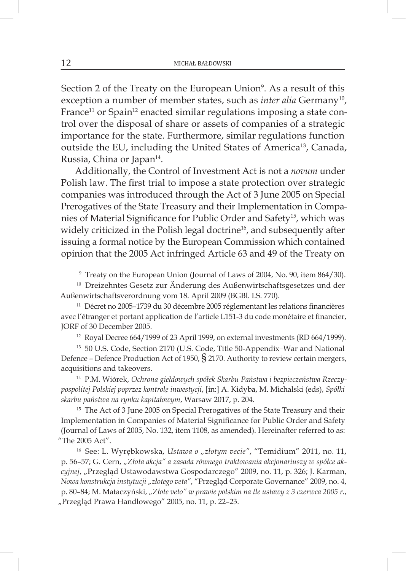Section 2 of the Treaty on the European Union<sup>9</sup>. As a result of this exception a number of member states, such as *inter alia* Germany<sup>10</sup>, France<sup>11</sup> or Spain<sup>12</sup> enacted similar regulations imposing a state control over the disposal of share or assets of companies of a strategic importance for the state. Furthermore, similar regulations function outside the EU, including the United States of America<sup>13</sup>, Canada, Russia, China or Japan<sup>14</sup>.

Additionally, the Control of Investment Act is not a *novum* under Polish law. The first trial to impose a state protection over strategic companies was introduced through the Act of 3 June 2005 on Special Prerogatives of the State Treasury and their Implementation in Companies of Material Significance for Public Order and Safety15, which was widely criticized in the Polish legal doctrine<sup>16</sup>, and subsequently after issuing a formal notice by the European Commission which contained opinion that the 2005 Act infringed Article 63 and 49 of the Treaty on

<sup>11</sup> Décret no 2005–1739 du 30 décembre 2005 réglementant les relations financières avec l'étranger et portant application de l'article L151-3 du code monétaire et financier, JORF of 30 December 2005.

 $12$  Royal Decree 664/1999 of 23 April 1999, on external investments (RD 664/1999).

<sup>13</sup> 50 U.S. Code, Section 2170 (U.S. Code, Title 50-Appendix–War and National Defence – Defence Production Act of 1950,  $\S$  2170. Authority to review certain mergers, acquisitions and takeovers.

<sup>14</sup> P.M. Wiórek, *Ochrona giełdowych spółek Skarbu Państwa i bezpieczeństwa Rzeczypospolitej Polskiej poprzez kontrolę inwestycji*, [in:] A. Kidyba, M. Michalski (eds), *Spółki skarbu państwa na rynku kapitałowym*, Warsaw 2017, p. 204.

<sup>15</sup> The Act of 3 June 2005 on Special Prerogatives of the State Treasury and their Implementation in Companies of Material Significance for Public Order and Safety (Journal of Laws of 2005, No. 132, item 1108, as amended). Hereinafter referred to as: "The 2005 Act".

<sup>16</sup> See: L. Wyrębkowska, Ustawa o "złotym vecie", "Temidium" 2011, no. 11, p. 56–57; G. Cern, *"Złota akcja" a zasada równego traktowania akcjonariuszy w spółce akcyjnej*, "Przegląd Ustawodawstwa Gospodarczego" 2009, no. 11, p. 326; J. Karman, *Nowa konstrukcja instytucji "złotego veta"*, "Przegląd Corporate Governance" 2009, no. 4, p. 80–84; M. Mataczyński, *"Złote veto" w prawie polskim na tle ustawy z 3 czerwca 2005 r*., "Przegląd Prawa Handlowego" 2005, no. 11, p. 22-23.

<sup>9</sup> Treaty on the European Union (Journal of Laws of 2004, No. 90, item 864/30).

<sup>&</sup>lt;sup>10</sup> Dreizehntes Gesetz zur Änderung des Außenwirtschaftsgesetzes und der Außenwirtschaftsverordnung vom 18. April 2009 (BGBl. I.S. 770).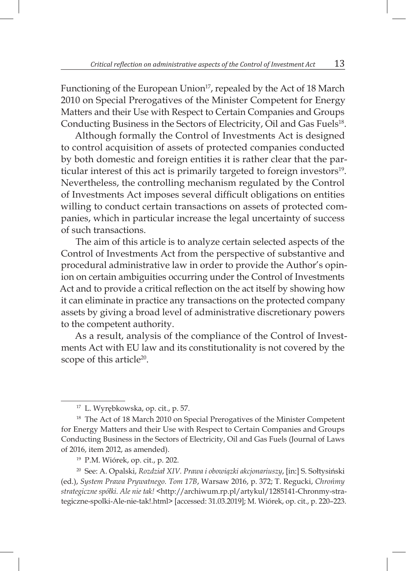Functioning of the European Union<sup>17</sup>, repealed by the Act of 18 March 2010 on Special Prerogatives of the Minister Competent for Energy Matters and their Use with Respect to Certain Companies and Groups Conducting Business in the Sectors of Electricity, Oil and Gas Fuels<sup>18</sup>.

Although formally the Control of Investments Act is designed to control acquisition of assets of protected companies conducted by both domestic and foreign entities it is rather clear that the particular interest of this act is primarily targeted to foreign investors<sup>19</sup>. Nevertheless, the controlling mechanism regulated by the Control of Investments Act imposes several difficult obligations on entities willing to conduct certain transactions on assets of protected companies, which in particular increase the legal uncertainty of success of such transactions.

The aim of this article is to analyze certain selected aspects of the Control of Investments Act from the perspective of substantive and procedural administrative law in order to provide the Author's opinion on certain ambiguities occurring under the Control of Investments Act and to provide a critical reflection on the act itself by showing how it can eliminate in practice any transactions on the protected company assets by giving a broad level of administrative discretionary powers to the competent authority.

As a result, analysis of the compliance of the Control of Investments Act with EU law and its constitutionality is not covered by the scope of this article<sup>20</sup>.

<sup>17</sup> L. Wyrębkowska, op. cit., p. 57.

<sup>&</sup>lt;sup>18</sup> The Act of 18 March 2010 on Special Prerogatives of the Minister Competent for Energy Matters and their Use with Respect to Certain Companies and Groups Conducting Business in the Sectors of Electricity, Oil and Gas Fuels (Journal of Laws of 2016, item 2012, as amended).

<sup>19</sup> P.M. Wiórek, op. cit., p. 202.

<sup>20</sup> See: A. Opalski, *Rozdział XIV. Prawa i obowiązki akcjonariuszy*, [in:] S. Sołtysiński (ed.), *System Prawa Prywatnego. Tom 17B*, Warsaw 2016, p. 372; T. Regucki, *Chrońmy strategiczne spółki. Ale nie tak!* <http://archiwum.rp.pl/artykul/1285141-Chronmy-strategiczne-spolki-Ale-nie-tak!.html> [accessed: 31.03.2019]; M. Wiórek, op. cit., p. 220–223.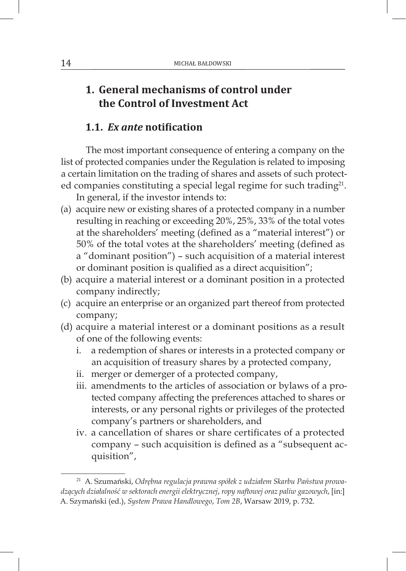## **1. General mechanisms of control under the Control of Investment Act**

#### **1.1.** *Ex ante* **notification**

The most important consequence of entering a company on the list of protected companies under the Regulation is related to imposing a certain limitation on the trading of shares and assets of such protected companies constituting a special legal regime for such trading<sup>21</sup>.

In general, if the investor intends to:

- (a) acquire new or existing shares of a protected company in a number resulting in reaching or exceeding 20%, 25%, 33% of the total votes at the shareholders' meeting (defined as a "material interest") or 50% of the total votes at the shareholders' meeting (defined as a "dominant position") – such acquisition of a material interest or dominant position is qualified as a direct acquisition";
- (b) acquire a material interest or a dominant position in a protected company indirectly;
- (c) acquire an enterprise or an organized part thereof from protected company;
- (d) acquire a material interest or a dominant positions as a result of one of the following events:
	- i. a redemption of shares or interests in a protected company or an acquisition of treasury shares by a protected company,
	- ii. merger or demerger of a protected company,
	- iii. amendments to the articles of association or bylaws of a protected company affecting the preferences attached to shares or interests, or any personal rights or privileges of the protected company's partners or shareholders, and
	- iv. a cancellation of shares or share certificates of a protected company – such acquisition is defined as a "subsequent acquisition",

<sup>21</sup> A. Szumański, *Odrębna regulacja prawna spółek z udziałem Skarbu Państwa prowadzących działalność w sektorach energii elektrycznej*, *ropy naftowej oraz paliw gazowych*, [in:] A. Szymański (ed.), *System Prawa Handlowego*, *Tom 2B*, Warsaw 2019, p. 732.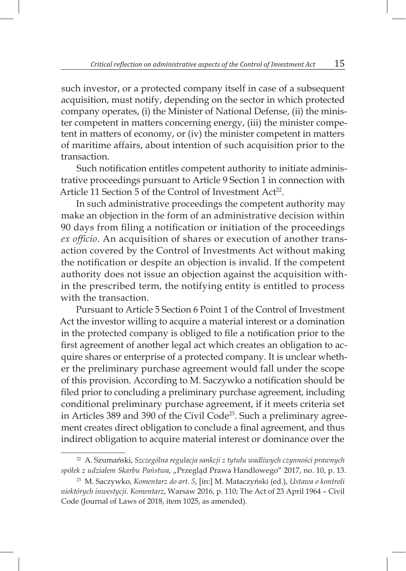such investor, or a protected company itself in case of a subsequent acquisition, must notify, depending on the sector in which protected company operates, (i) the Minister of National Defense, (ii) the minister competent in matters concerning energy, (iii) the minister competent in matters of economy, or (iv) the minister competent in matters of maritime affairs, about intention of such acquisition prior to the transaction.

Such notification entitles competent authority to initiate administrative proceedings pursuant to Article 9 Section 1 in connection with Article 11 Section 5 of the Control of Investment Act<sup>22</sup>.

In such administrative proceedings the competent authority may make an objection in the form of an administrative decision within 90 days from filing a notification or initiation of the proceedings *ex officio*. An acquisition of shares or execution of another transaction covered by the Control of Investments Act without making the notification or despite an objection is invalid. If the competent authority does not issue an objection against the acquisition within the prescribed term, the notifying entity is entitled to process with the transaction.

Pursuant to Article 5 Section 6 Point 1 of the Control of Investment Act the investor willing to acquire a material interest or a domination in the protected company is obliged to file a notification prior to the first agreement of another legal act which creates an obligation to acquire shares or enterprise of a protected company. It is unclear whether the preliminary purchase agreement would fall under the scope of this provision. According to M. Saczywko a notification should be filed prior to concluding a preliminary purchase agreement, including conditional preliminary purchase agreement, if it meets criteria set in Articles 389 and 390 of the Civil Code<sup>23</sup>. Such a preliminary agreement creates direct obligation to conclude a final agreement, and thus indirect obligation to acquire material interest or dominance over the

<sup>22</sup> A. Szumański, *Szczególna regulacja sankcji z tytułu wadliwych czynności prawnych spółek z udziałem Skarbu Państwa*, "Przegląd Prawa Handlowego" 2017, no. 10, p. 13.

<sup>23</sup> M. Saczywko, *Komentarz do art. 5*, [in:] M. Mataczyński (ed.), *Ustawa o kontroli niektórych inwestycji. Komentarz*, Warsaw 2016, p. 110; The Act of 23 April 1964 – Civil Code (Journal of Laws of 2018, item 1025, as amended).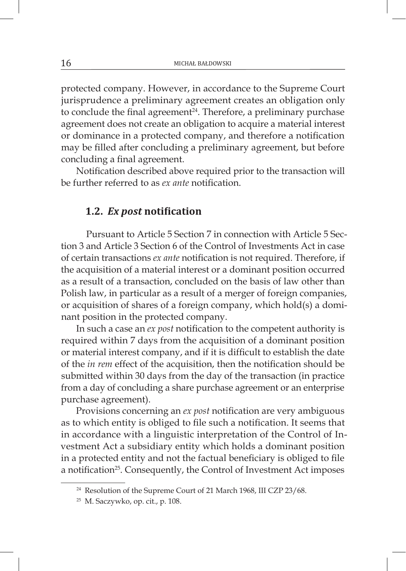protected company. However, in accordance to the Supreme Court jurisprudence a preliminary agreement creates an obligation only to conclude the final agreement<sup>24</sup>. Therefore, a preliminary purchase agreement does not create an obligation to acquire a material interest or dominance in a protected company, and therefore a notification may be filled after concluding a preliminary agreement, but before concluding a final agreement.

Notification described above required prior to the transaction will be further referred to as *ex ante* notification.

#### **1.2.** *Ex post* **notification**

Pursuant to Article 5 Section 7 in connection with Article 5 Section 3 and Article 3 Section 6 of the Control of Investments Act in case of certain transactions *ex ante* notification is not required. Therefore, if the acquisition of a material interest or a dominant position occurred as a result of a transaction, concluded on the basis of law other than Polish law, in particular as a result of a merger of foreign companies, or acquisition of shares of a foreign company, which hold(s) a dominant position in the protected company.

In such a case an *ex post* notification to the competent authority is required within 7 days from the acquisition of a dominant position or material interest company, and if it is difficult to establish the date of the *in rem* effect of the acquisition, then the notification should be submitted within 30 days from the day of the transaction (in practice from a day of concluding a share purchase agreement or an enterprise purchase agreement).

Provisions concerning an *ex post* notification are very ambiguous as to which entity is obliged to file such a notification. It seems that in accordance with a linguistic interpretation of the Control of Investment Act a subsidiary entity which holds a dominant position in a protected entity and not the factual beneficiary is obliged to file a notification<sup>25</sup>. Consequently, the Control of Investment Act imposes

<sup>&</sup>lt;sup>24</sup> Resolution of the Supreme Court of 21 March 1968, III CZP 23/68.

<sup>25</sup> M. Saczywko, op. cit., p. 108.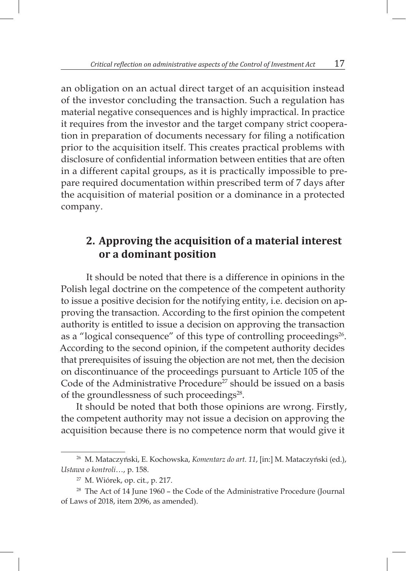an obligation on an actual direct target of an acquisition instead of the investor concluding the transaction. Such a regulation has material negative consequences and is highly impractical. In practice it requires from the investor and the target company strict cooperation in preparation of documents necessary for filing a notification prior to the acquisition itself. This creates practical problems with disclosure of confidential information between entities that are often in a different capital groups, as it is practically impossible to prepare required documentation within prescribed term of 7 days after the acquisition of material position or a dominance in a protected company.

## **2. Approving the acquisition of a material interest or a dominant position**

It should be noted that there is a difference in opinions in the Polish legal doctrine on the competence of the competent authority to issue a positive decision for the notifying entity, i.e. decision on approving the transaction. According to the first opinion the competent authority is entitled to issue a decision on approving the transaction as a "logical consequence" of this type of controlling proceedings<sup>26</sup>. According to the second opinion, if the competent authority decides that prerequisites of issuing the objection are not met, then the decision on discontinuance of the proceedings pursuant to Article 105 of the Code of the Administrative Procedure<sup>27</sup> should be issued on a basis of the groundlessness of such proceedings<sup>28</sup>.

It should be noted that both those opinions are wrong. Firstly, the competent authority may not issue a decision on approving the acquisition because there is no competence norm that would give it

<sup>26</sup> M. Mataczyński, E. Kochowska, *Komentarz do art. 11*, [in:] M. Mataczyński (ed.), *Ustawa o kontroli*…, p. 158.

<sup>27</sup> M. Wiórek, op. cit., p. 217.

<sup>&</sup>lt;sup>28</sup> The Act of 14 June 1960 – the Code of the Administrative Procedure (Journal of Laws of 2018, item 2096, as amended).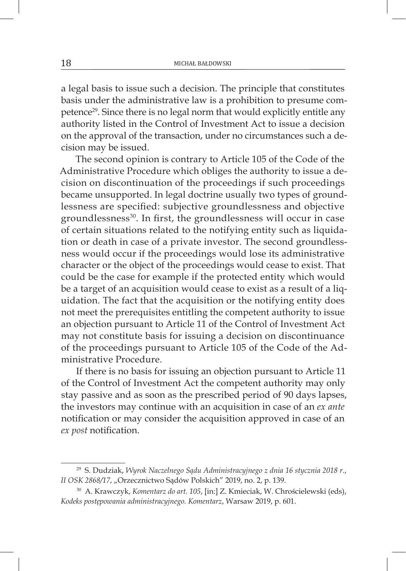a legal basis to issue such a decision. The principle that constitutes basis under the administrative law is a prohibition to presume competence29. Since there is no legal norm that would explicitly entitle any authority listed in the Control of Investment Act to issue a decision on the approval of the transaction, under no circumstances such a decision may be issued.

The second opinion is contrary to Article 105 of the Code of the Administrative Procedure which obliges the authority to issue a decision on discontinuation of the proceedings if such proceedings became unsupported. In legal doctrine usually two types of groundlessness are specified: subjective groundlessness and objective groundlessness<sup>30</sup>. In first, the groundlessness will occur in case of certain situations related to the notifying entity such as liquidation or death in case of a private investor. The second groundlessness would occur if the proceedings would lose its administrative character or the object of the proceedings would cease to exist. That could be the case for example if the protected entity which would be a target of an acquisition would cease to exist as a result of a liquidation. The fact that the acquisition or the notifying entity does not meet the prerequisites entitling the competent authority to issue an objection pursuant to Article 11 of the Control of Investment Act may not constitute basis for issuing a decision on discontinuance of the proceedings pursuant to Article 105 of the Code of the Administrative Procedure.

If there is no basis for issuing an objection pursuant to Article 11 of the Control of Investment Act the competent authority may only stay passive and as soon as the prescribed period of 90 days lapses, the investors may continue with an acquisition in case of an *ex ante*  notification or may consider the acquisition approved in case of an *ex post* notification.

<sup>29</sup> S. Dudziak, *Wyrok Naczelnego Sądu Administracyjnego z dnia 16 stycznia 2018 r.*, *II OSK 2868/17*, "Orzecznictwo Sądów Polskich" 2019, no. 2, p. 139.

<sup>30</sup> A. Krawczyk, *Komentarz do art. 105*, [in:] Z. Kmieciak, W. Chrościelewski (eds), *Kodeks postępowania administracyjnego. Komentarz*, Warsaw 2019, p. 601.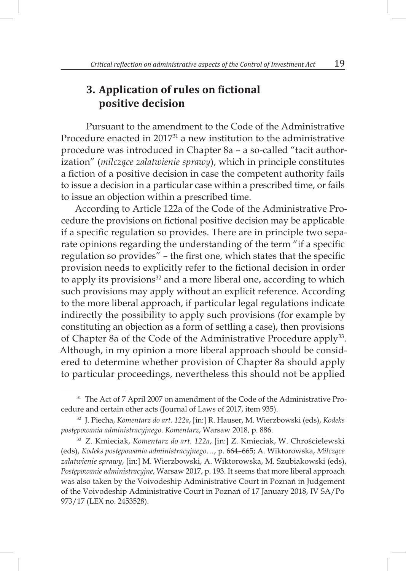### **3. Application of rules on fictional positive decision**

Pursuant to the amendment to the Code of the Administrative Procedure enacted in 201731 a new institution to the administrative procedure was introduced in Chapter 8a – a so-called "tacit authorization" (*milczące załatwienie sprawy*), which in principle constitutes a fiction of a positive decision in case the competent authority fails to issue a decision in a particular case within a prescribed time, or fails to issue an objection within a prescribed time.

According to Article 122a of the Code of the Administrative Procedure the provisions on fictional positive decision may be applicable if a specific regulation so provides. There are in principle two separate opinions regarding the understanding of the term "if a specific regulation so provides" – the first one, which states that the specific provision needs to explicitly refer to the fictional decision in order to apply its provisions<sup>32</sup> and a more liberal one, according to which such provisions may apply without an explicit reference. According to the more liberal approach, if particular legal regulations indicate indirectly the possibility to apply such provisions (for example by constituting an objection as a form of settling a case), then provisions of Chapter 8a of the Code of the Administrative Procedure apply<sup>33</sup>. Although, in my opinion a more liberal approach should be considered to determine whether provision of Chapter 8a should apply to particular proceedings, nevertheless this should not be applied

<sup>&</sup>lt;sup>31</sup> The Act of 7 April 2007 on amendment of the Code of the Administrative Procedure and certain other acts (Journal of Laws of 2017, item 935).

<sup>32</sup> J. Piecha, *Komentarz do art. 122a*, [in:] R. Hauser, M. Wierzbowski (eds), *Kodeks postępowania administracyjnego*. *Komentarz*, Warsaw 2018, p. 886.

<sup>33</sup> Z. Kmieciak, *Komentarz do art. 122a*, [in:] Z. Kmieciak, W. Chrościelewski (eds), *Kodeks postępowania administracyjnego*…, p. 664–665; A. Wiktorowska, *Milczące załatwienie sprawy*, [in:] M. Wierzbowski, A. Wiktorowska, M. Szubiakowski (eds), *Postępowanie administracyjne*, Warsaw 2017, p. 193. It seems that more liberal approach was also taken by the Voivodeship Administrative Court in Poznań in Judgement of the Voivodeship Administrative Court in Poznań of 17 January 2018, IV SA/Po 973/17 (LEX no. 2453528).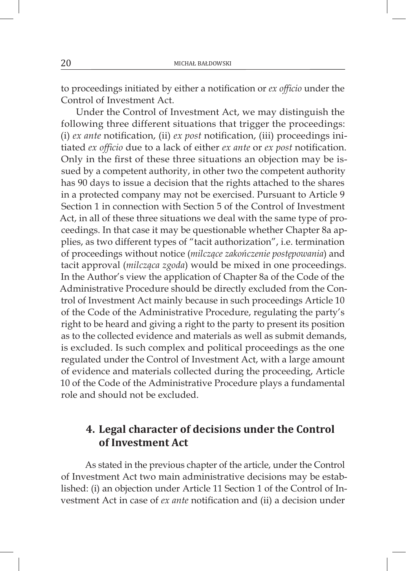to proceedings initiated by either a notification or *ex officio* under the Control of Investment Act.

Under the Control of Investment Act, we may distinguish the following three different situations that trigger the proceedings: (i) *ex ante* notification, (ii) *ex post* notification, (iii) proceedings initiated *ex officio* due to a lack of either *ex ante* or *ex post* notification. Only in the first of these three situations an objection may be issued by a competent authority, in other two the competent authority has 90 days to issue a decision that the rights attached to the shares in a protected company may not be exercised. Pursuant to Article 9 Section 1 in connection with Section 5 of the Control of Investment Act, in all of these three situations we deal with the same type of proceedings. In that case it may be questionable whether Chapter 8a applies, as two different types of "tacit authorization", i.e. termination of proceedings without notice (*milczące zakończenie postępowania*) and tacit approval (*milcząca zgoda*) would be mixed in one proceedings. In the Author's view the application of Chapter 8a of the Code of the Administrative Procedure should be directly excluded from the Control of Investment Act mainly because in such proceedings Article 10 of the Code of the Administrative Procedure, regulating the party's right to be heard and giving a right to the party to present its position as to the collected evidence and materials as well as submit demands, is excluded. Is such complex and political proceedings as the one regulated under the Control of Investment Act, with a large amount of evidence and materials collected during the proceeding, Article 10 of the Code of the Administrative Procedure plays a fundamental role and should not be excluded.

### **4. Legal character of decisions under the Control of Investment Act**

As stated in the previous chapter of the article, under the Control of Investment Act two main administrative decisions may be established: (i) an objection under Article 11 Section 1 of the Control of Investment Act in case of *ex ante* notification and (ii) a decision under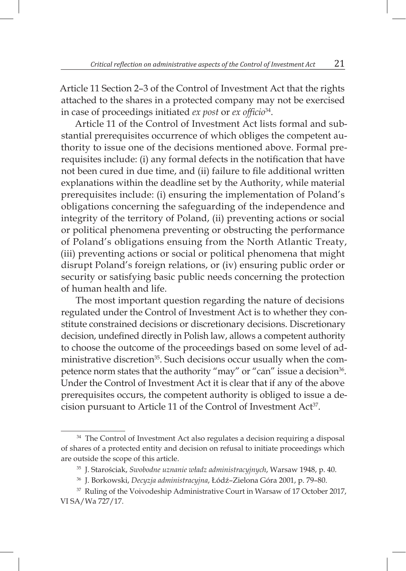Article 11 Section 2–3 of the Control of Investment Act that the rights attached to the shares in a protected company may not be exercised in case of proceedings initiated *ex post* or *ex officio*<sup>34</sup>.

Article 11 of the Control of Investment Act lists formal and substantial prerequisites occurrence of which obliges the competent authority to issue one of the decisions mentioned above. Formal prerequisites include: (i) any formal defects in the notification that have not been cured in due time, and (ii) failure to file additional written explanations within the deadline set by the Authority, while material prerequisites include: (i) ensuring the implementation of Poland's obligations concerning the safeguarding of the independence and integrity of the territory of Poland, (ii) preventing actions or social or political phenomena preventing or obstructing the performance of Poland's obligations ensuing from the North Atlantic Treaty, (iii) preventing actions or social or political phenomena that might disrupt Poland's foreign relations, or (iv) ensuring public order or security or satisfying basic public needs concerning the protection of human health and life.

The most important question regarding the nature of decisions regulated under the Control of Investment Act is to whether they constitute constrained decisions or discretionary decisions. Discretionary decision, undefined directly in Polish law, allows a competent authority to choose the outcome of the proceedings based on some level of administrative discretion<sup>35</sup>. Such decisions occur usually when the competence norm states that the authority "may" or "can" issue a decision<sup>36</sup>. Under the Control of Investment Act it is clear that if any of the above prerequisites occurs, the competent authority is obliged to issue a decision pursuant to Article 11 of the Control of Investment Act<sup>37</sup>.

<sup>&</sup>lt;sup>34</sup> The Control of Investment Act also regulates a decision requiring a disposal of shares of a protected entity and decision on refusal to initiate proceedings which are outside the scope of this article.

<sup>35</sup> J. Starościak, *Swobodne uznanie władz administracyjnych*, Warsaw 1948, p. 40.

<sup>36</sup> J. Borkowski, *Decyzja administracyjna*, Łódź–Zielona Góra 2001, p. 79–80.

<sup>&</sup>lt;sup>37</sup> Ruling of the Voivodeship Administrative Court in Warsaw of 17 October 2017, VI SA/Wa 727/17.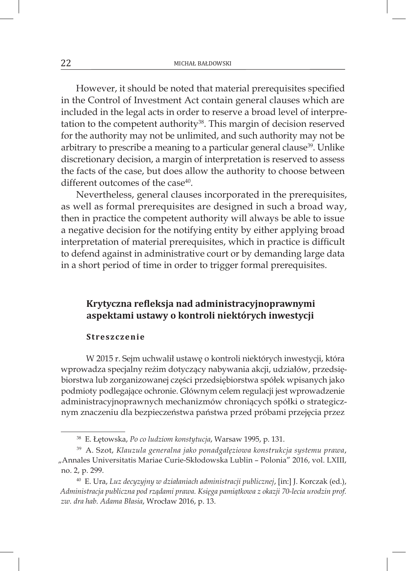However, it should be noted that material prerequisites specified in the Control of Investment Act contain general clauses which are included in the legal acts in order to reserve a broad level of interpretation to the competent authority<sup>38</sup>. This margin of decision reserved for the authority may not be unlimited, and such authority may not be arbitrary to prescribe a meaning to a particular general clause<sup>39</sup>. Unlike discretionary decision, a margin of interpretation is reserved to assess the facts of the case, but does allow the authority to choose between different outcomes of the case<sup>40</sup>.

Nevertheless, general clauses incorporated in the prerequisites, as well as formal prerequisites are designed in such a broad way, then in practice the competent authority will always be able to issue a negative decision for the notifying entity by either applying broad interpretation of material prerequisites, which in practice is difficult to defend against in administrative court or by demanding large data in a short period of time in order to trigger formal prerequisites.

#### **Krytyczna refleksja nad administracyjnoprawnymi aspektami ustawy o kontroli niektórych inwestycji**

#### **Streszczenie**

W 2015 r. Sejm uchwalił ustawę o kontroli niektórych inwestycji, która wprowadza specjalny reżim dotyczący nabywania akcji, udziałów, przedsiębiorstwa lub zorganizowanej części przedsiębiorstwa spółek wpisanych jako podmioty podlegające ochronie. Głównym celem regulacji jest wprowadzenie administracyjnoprawnych mechanizmów chroniących spółki o strategicznym znaczeniu dla bezpieczeństwa państwa przed próbami przejęcia przez

<sup>38</sup> E. Łętowska, *Po co ludziom konstytucja*, Warsaw 1995, p. 131.

<sup>39</sup> A. Szot, *Klauzula generalna jako ponadgałęziowa konstrukcja systemu prawa*, "Annales Universitatis Mariae Curie-Skłodowska Lublin – Polonia" 2016, vol. LXIII, no. 2, p. 299.

<sup>40</sup> E. Ura, *Luz decyzyjny w działaniach administracji publicznej*, [in:] J. Korczak (ed.), *Administracja publiczna pod rządami prawa. Księga pamiątkowa z okazji 70-lecia urodzin prof. zw. dra hab. Adama Błasia*, Wrocław 2016, p. 13.